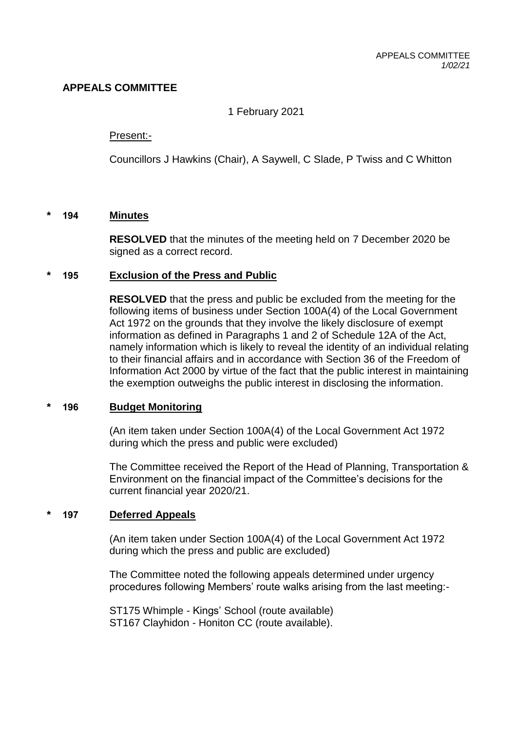# **APPEALS COMMITTEE**

1 February 2021

### Present:-

Councillors J Hawkins (Chair), A Saywell, C Slade, P Twiss and C Whitton

### **\* 194 Minutes**

**RESOLVED** that the minutes of the meeting held on 7 December 2020 be signed as a correct record.

### **\* 195 Exclusion of the Press and Public**

**RESOLVED** that the press and public be excluded from the meeting for the following items of business under Section 100A(4) of the Local Government Act 1972 on the grounds that they involve the likely disclosure of exempt information as defined in Paragraphs 1 and 2 of Schedule 12A of the Act, namely information which is likely to reveal the identity of an individual relating to their financial affairs and in accordance with Section 36 of the Freedom of Information Act 2000 by virtue of the fact that the public interest in maintaining the exemption outweighs the public interest in disclosing the information.

### **\* 196 Budget Monitoring**

(An item taken under Section 100A(4) of the Local Government Act 1972 during which the press and public were excluded)

The Committee received the Report of the Head of Planning, Transportation & Environment on the financial impact of the Committee's decisions for the current financial year 2020/21.

### **\* 197 Deferred Appeals**

(An item taken under Section 100A(4) of the Local Government Act 1972 during which the press and public are excluded)

The Committee noted the following appeals determined under urgency procedures following Members' route walks arising from the last meeting:-

ST175 Whimple - Kings' School (route available) ST167 Clayhidon - Honiton CC (route available).